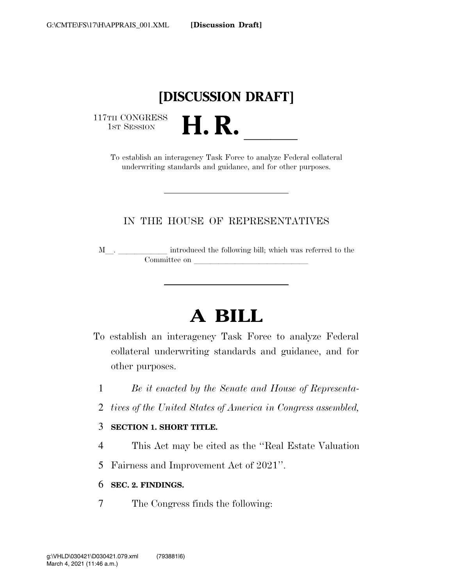## **[DISCUSSION DRAFT]**

117TH CONGRESS<br>1st Session

TH CONGRESS<br>
1st SESSION **H. R. I. R. A. B. A. CONGRESS**<br>
To establish an interagency Task Force to analyze Federal collateral underwriting standards and guidance, and for other purposes.

#### IN THE HOUSE OF REPRESENTATIVES

<sup>M</sup>l. llllll introduced the following bill; which was referred to the Committee on later and later the committee on later and later than  $\sim$ 

# **A BILL**

- To establish an interagency Task Force to analyze Federal collateral underwriting standards and guidance, and for other purposes.
	- 1 *Be it enacted by the Senate and House of Representa-*
	- 2 *tives of the United States of America in Congress assembled,*

#### 3 **SECTION 1. SHORT TITLE.**

- 4 This Act may be cited as the ''Real Estate Valuation
- 5 Fairness and Improvement Act of 2021''.

#### 6 **SEC. 2. FINDINGS.**

7 The Congress finds the following: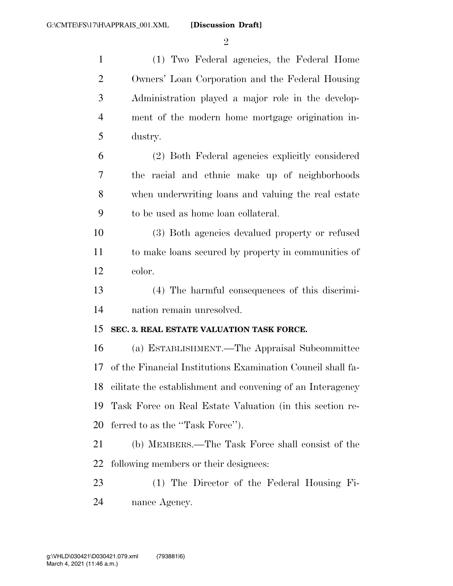$\mathfrak{D}$ 

 (1) Two Federal agencies, the Federal Home Owners' Loan Corporation and the Federal Housing Administration played a major role in the develop- ment of the modern home mortgage origination in- dustry. (2) Both Federal agencies explicitly considered the racial and ethnic make up of neighborhoods when underwriting loans and valuing the real estate to be used as home loan collateral. (3) Both agencies devalued property or refused to make loans secured by property in communities of color. (4) The harmful consequences of this discrimi- nation remain unresolved. **SEC. 3. REAL ESTATE VALUATION TASK FORCE.**  (a) ESTABLISHMENT.—The Appraisal Subcommittee of the Financial Institutions Examination Council shall fa- cilitate the establishment and convening of an Interagency Task Force on Real Estate Valuation (in this section re-20 ferred to as the "Task Force". (b) MEMBERS.—The Task Force shall consist of the following members or their designees: (1) The Director of the Federal Housing Fi-nance Agency.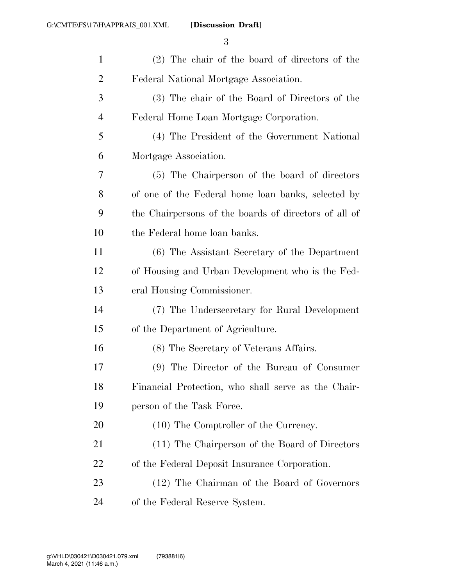| $\mathbf{1}$   | (2) The chair of the board of directors of the        |
|----------------|-------------------------------------------------------|
| $\overline{2}$ | Federal National Mortgage Association.                |
| 3              | (3) The chair of the Board of Directors of the        |
| 4              | Federal Home Loan Mortgage Corporation.               |
| 5              | (4) The President of the Government National          |
| 6              | Mortgage Association.                                 |
| 7              | (5) The Chairperson of the board of directors         |
| 8              | of one of the Federal home loan banks, selected by    |
| 9              | the Chairpersons of the boards of directors of all of |
| 10             | the Federal home loan banks.                          |
| 11             | (6) The Assistant Secretary of the Department         |
| 12             | of Housing and Urban Development who is the Fed-      |
| 13             | eral Housing Commissioner.                            |
| 14             | (7) The Undersecretary for Rural Development          |
| 15             | of the Department of Agriculture.                     |
| 16             | (8) The Secretary of Veterans Affairs.                |
| 17             | (9) The Director of the Bureau of Consumer            |
| 18             | Financial Protection, who shall serve as the Chair-   |
| 19             | person of the Task Force.                             |
| 20             | (10) The Comptroller of the Currency.                 |
| 21             | (11) The Chairperson of the Board of Directors        |
| 22             | of the Federal Deposit Insurance Corporation.         |
| 23             | (12) The Chairman of the Board of Governors           |
| 24             | of the Federal Reserve System.                        |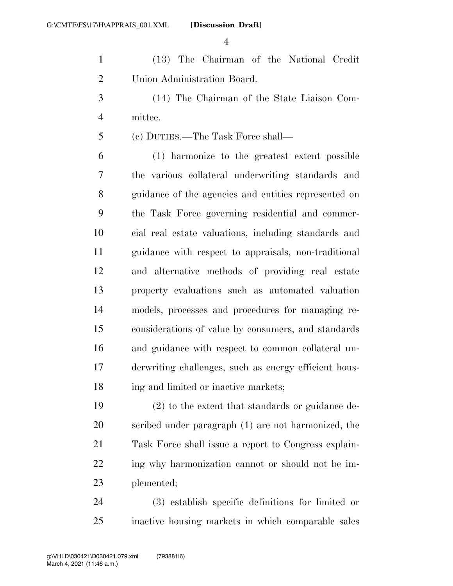(13) The Chairman of the National Credit Union Administration Board.

 (14) The Chairman of the State Liaison Com-mittee.

(c) DUTIES.—The Task Force shall—

 (1) harmonize to the greatest extent possible the various collateral underwriting standards and guidance of the agencies and entities represented on the Task Force governing residential and commer- cial real estate valuations, including standards and guidance with respect to appraisals, non-traditional and alternative methods of providing real estate property evaluations such as automated valuation models, processes and procedures for managing re- considerations of value by consumers, and standards and guidance with respect to common collateral un- derwriting challenges, such as energy efficient hous-18 ing and limited or inactive markets;

 (2) to the extent that standards or guidance de- scribed under paragraph (1) are not harmonized, the Task Force shall issue a report to Congress explain-22 ing why harmonization cannot or should not be im-plemented;

 (3) establish specific definitions for limited or inactive housing markets in which comparable sales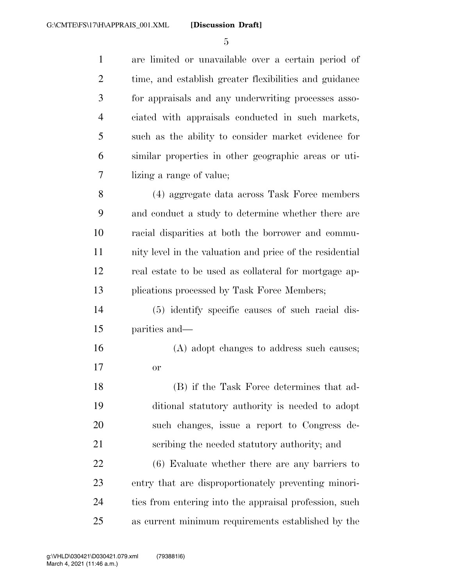are limited or unavailable over a certain period of time, and establish greater flexibilities and guidance for appraisals and any underwriting processes asso- ciated with appraisals conducted in such markets, such as the ability to consider market evidence for similar properties in other geographic areas or uti- lizing a range of value; (4) aggregate data across Task Force members and conduct a study to determine whether there are racial disparities at both the borrower and commu- nity level in the valuation and price of the residential real estate to be used as collateral for mortgage ap-13 plications processed by Task Force Members; (5) identify specific causes of such racial dis- parities and— (A) adopt changes to address such causes; or (B) if the Task Force determines that ad- ditional statutory authority is needed to adopt such changes, issue a report to Congress de- scribing the needed statutory authority; and (6) Evaluate whether there are any barriers to entry that are disproportionately preventing minori- ties from entering into the appraisal profession, such as current minimum requirements established by the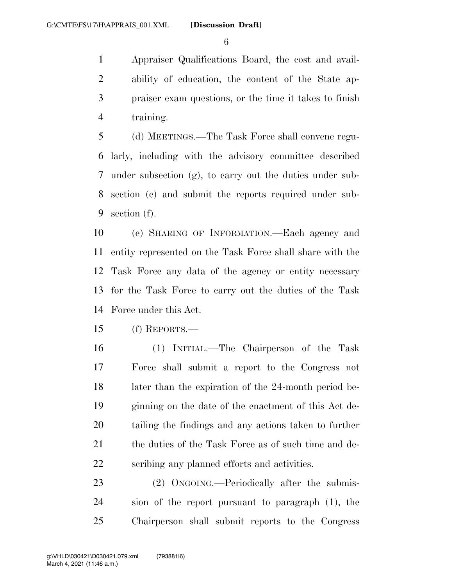Appraiser Qualifications Board, the cost and avail- ability of education, the content of the State ap- praiser exam questions, or the time it takes to finish training.

 (d) MEETINGS.—The Task Force shall convene regu- larly, including with the advisory committee described under subsection (g), to carry out the duties under sub- section (c) and submit the reports required under sub-section (f).

 (e) SHARING OF INFORMATION.—Each agency and entity represented on the Task Force shall share with the Task Force any data of the agency or entity necessary for the Task Force to carry out the duties of the Task Force under this Act.

(f) REPORTS.—

 (1) INITIAL.—The Chairperson of the Task Force shall submit a report to the Congress not later than the expiration of the 24-month period be- ginning on the date of the enactment of this Act de- tailing the findings and any actions taken to further 21 the duties of the Task Force as of such time and de-scribing any planned efforts and activities.

23 (2) ONGOING.—Periodically after the submis- sion of the report pursuant to paragraph (1), the Chairperson shall submit reports to the Congress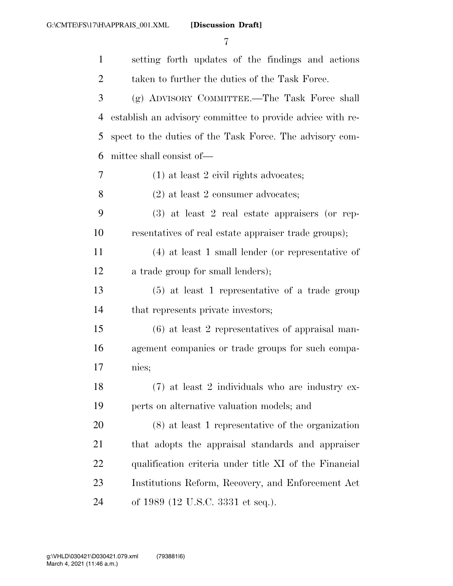| $\mathbf{1}$   | setting forth updates of the findings and actions          |
|----------------|------------------------------------------------------------|
| $\overline{2}$ | taken to further the duties of the Task Force.             |
| 3              | (g) ADVISORY COMMITTEE.—The Task Force shall               |
| 4              | establish an advisory committee to provide advice with re- |
| 5              | spect to the duties of the Task Force. The advisory com-   |
| 6              | mittee shall consist of—                                   |
| 7              | $(1)$ at least 2 civil rights advocates;                   |
| 8              | $(2)$ at least 2 consumer advocates;                       |
| 9              | $(3)$ at least 2 real estate appraisers (or rep-           |
| 10             | resentatives of real estate appraiser trade groups);       |
| 11             | $(4)$ at least 1 small lender (or representative of        |
| 12             | a trade group for small lenders);                          |
| 13             | $(5)$ at least 1 representative of a trade group           |
| 14             | that represents private investors;                         |
| 15             | $(6)$ at least 2 representatives of appraisal man-         |
| 16             | agement companies or trade groups for such compa-          |
| 17             | nies;                                                      |
| 18             | $(7)$ at least 2 individuals who are industry ex-          |
| 19             | perts on alternative valuation models; and                 |
| 20             | $(8)$ at least 1 representative of the organization        |
| 21             | that adopts the appraisal standards and appraiser          |
| 22             | qualification criteria under title XI of the Financial     |
| 23             | Institutions Reform, Recovery, and Enforcement Act         |
| 24             | of 1989 (12 U.S.C. 3331 et seq.).                          |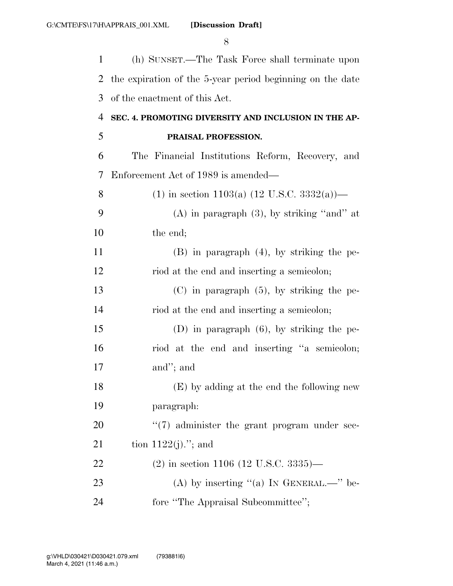1 (h) SUNSET.—The Task Force shall terminate upon 2 the expiration of the 5-year period beginning on the date 3 of the enactment of this Act.

### 4 **SEC. 4. PROMOTING DIVERSITY AND INCLUSION IN THE AP-**5 **PRAISAL PROFESSION.**

6 The Financial Institutions Reform, Recovery, and 7 Enforcement Act of 1989 is amended—

| 8  | (1) in section 1103(a) $(12 \text{ U.S.C. } 3332(a))$ — |
|----|---------------------------------------------------------|
| 9  | $(A)$ in paragraph $(3)$ , by striking "and" at         |
| 10 | the end;                                                |
| 11 | $(B)$ in paragraph $(4)$ , by striking the pe-          |
| 12 | riod at the end and inserting a semicolon;              |
| 13 | $(C)$ in paragraph $(5)$ , by striking the pe-          |
| 14 | riod at the end and inserting a semicolon;              |
| 15 | $(D)$ in paragraph $(6)$ , by striking the pe-          |
| 16 | riod at the end and inserting "a semicolon;             |
| 17 | and"; and                                               |
| 18 | (E) by adding at the end the following new              |
| 19 | paragraph:                                              |
| 20 | "(7) administer the grant program under sec-            |
| 21 | tion $1122(j)$ ."; and                                  |
| 22 | $(2)$ in section 1106 (12 U.S.C. 3335)—                 |
| 23 | (A) by inserting "(a) IN GENERAL.—" be-                 |
| 24 | fore "The Appraisal Subcommittee";                      |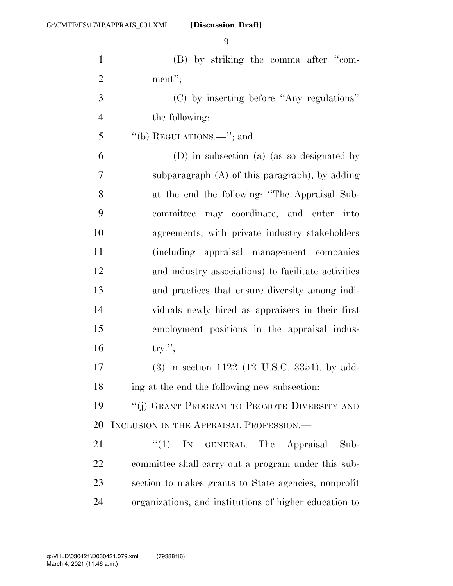**[Discussion Draft]** 

| $\mathbf{1}$   | (B) by striking the comma after "com-                  |
|----------------|--------------------------------------------------------|
| $\overline{2}$ | ment";                                                 |
| 3              | (C) by inserting before "Any regulations"              |
| $\overline{4}$ | the following:                                         |
| 5              | "(b) REGULATIONS.—"; and                               |
| 6              | (D) in subsection (a) (as so designated by             |
| 7              | subparagraph $(A)$ of this paragraph), by adding       |
| 8              | at the end the following: "The Appraisal Sub-          |
| 9              | committee<br>may coordinate, and enter into            |
| 10             | agreements, with private industry stakeholders         |
| 11             | (including appraisal management companies              |
| 12             | and industry associations) to facilitate activities    |
| 13             | and practices that ensure diversity among indi-        |
| 14             | viduals newly hired as appraisers in their first       |
| 15             | employment positions in the appraisal indus-           |
| 16             | $try.'$ ;                                              |
| 17             | $(3)$ in section 1122 (12 U.S.C. 3351), by add-        |
| 18             | ing at the end the following new subsection:           |
| 19             | "(j) GRANT PROGRAM TO PROMOTE DIVERSITY AND            |
| 20             | INCLUSION IN THE APPRAISAL PROFESSION.—                |
| 21             | ``(1)<br>IN GENERAL.—The Appraisal<br>Sub-             |
| 22             | committee shall carry out a program under this sub-    |
| 23             | section to makes grants to State agencies, nonprofit   |
| 24             | organizations, and institutions of higher education to |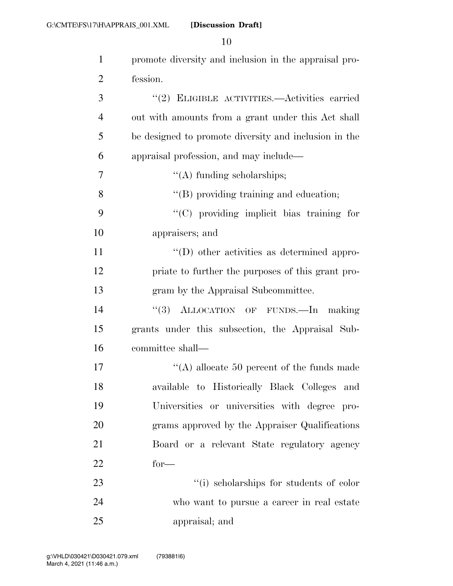| $\mathbf{1}$   | promote diversity and inclusion in the appraisal pro- |
|----------------|-------------------------------------------------------|
| $\overline{2}$ | fession.                                              |
| 3              | "(2) ELIGIBLE ACTIVITIES.—Activities carried          |
| $\overline{4}$ | out with amounts from a grant under this Act shall    |
| 5              | be designed to promote diversity and inclusion in the |
| 6              | appraisal profession, and may include—                |
| 7              | $\lq\lq$ funding scholarships;                        |
| 8              | "(B) providing training and education;                |
| 9              | "(C) providing implicit bias training for             |
| 10             | appraisers; and                                       |
| 11             | $\lq\lq$ other activities as determined appro-        |
| 12             | priate to further the purposes of this grant pro-     |
| 13             | gram by the Appraisal Subcommittee.                   |
| 14             | "(3) ALLOCATION OF FUNDS. In making                   |
| 15             | grants under this subsection, the Appraisal Sub-      |
| 16             | committee shall-                                      |
| 17             | "(A) allocate 50 percent of the funds made            |
| 18             | available to Historically Black Colleges and          |
| 19             | Universities or universities with degree pro-         |
| 20             | grams approved by the Appraiser Qualifications        |
| 21             | Board or a relevant State regulatory agency           |
| 22             | $for-$                                                |
| 23             | "(i) scholarships for students of color               |
| 24             | who want to pursue a career in real estate            |
| 25             | appraisal; and                                        |